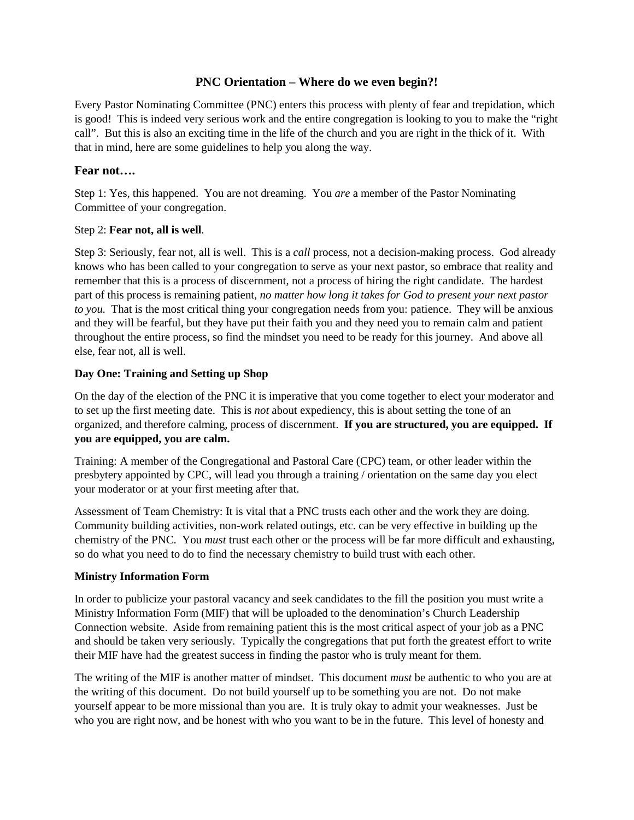# **PNC Orientation – Where do we even begin?!**

Every Pastor Nominating Committee (PNC) enters this process with plenty of fear and trepidation, which is good! This is indeed very serious work and the entire congregation is looking to you to make the "right call". But this is also an exciting time in the life of the church and you are right in the thick of it. With that in mind, here are some guidelines to help you along the way.

### **Fear not….**

Step 1: Yes, this happened. You are not dreaming. You *are* a member of the Pastor Nominating Committee of your congregation.

### Step 2: **Fear not, all is well**.

Step 3: Seriously, fear not, all is well. This is a *call* process, not a decision-making process. God already knows who has been called to your congregation to serve as your next pastor, so embrace that reality and remember that this is a process of discernment, not a process of hiring the right candidate. The hardest part of this process is remaining patient, *no matter how long it takes for God to present your next pastor to you.* That is the most critical thing your congregation needs from you: patience. They will be anxious and they will be fearful, but they have put their faith you and they need you to remain calm and patient throughout the entire process, so find the mindset you need to be ready for this journey. And above all else, fear not, all is well.

# **Day One: Training and Setting up Shop**

On the day of the election of the PNC it is imperative that you come together to elect your moderator and to set up the first meeting date. This is *not* about expediency, this is about setting the tone of an organized, and therefore calming, process of discernment. **If you are structured, you are equipped. If you are equipped, you are calm.**

Training: A member of the Congregational and Pastoral Care (CPC) team, or other leader within the presbytery appointed by CPC, will lead you through a training / orientation on the same day you elect your moderator or at your first meeting after that.

Assessment of Team Chemistry: It is vital that a PNC trusts each other and the work they are doing. Community building activities, non-work related outings, etc. can be very effective in building up the chemistry of the PNC. You *must* trust each other or the process will be far more difficult and exhausting, so do what you need to do to find the necessary chemistry to build trust with each other.

### **Ministry Information Form**

In order to publicize your pastoral vacancy and seek candidates to the fill the position you must write a Ministry Information Form (MIF) that will be uploaded to the denomination's Church Leadership Connection website. Aside from remaining patient this is the most critical aspect of your job as a PNC and should be taken very seriously. Typically the congregations that put forth the greatest effort to write their MIF have had the greatest success in finding the pastor who is truly meant for them.

The writing of the MIF is another matter of mindset. This document *must* be authentic to who you are at the writing of this document. Do not build yourself up to be something you are not. Do not make yourself appear to be more missional than you are. It is truly okay to admit your weaknesses. Just be who you are right now, and be honest with who you want to be in the future. This level of honesty and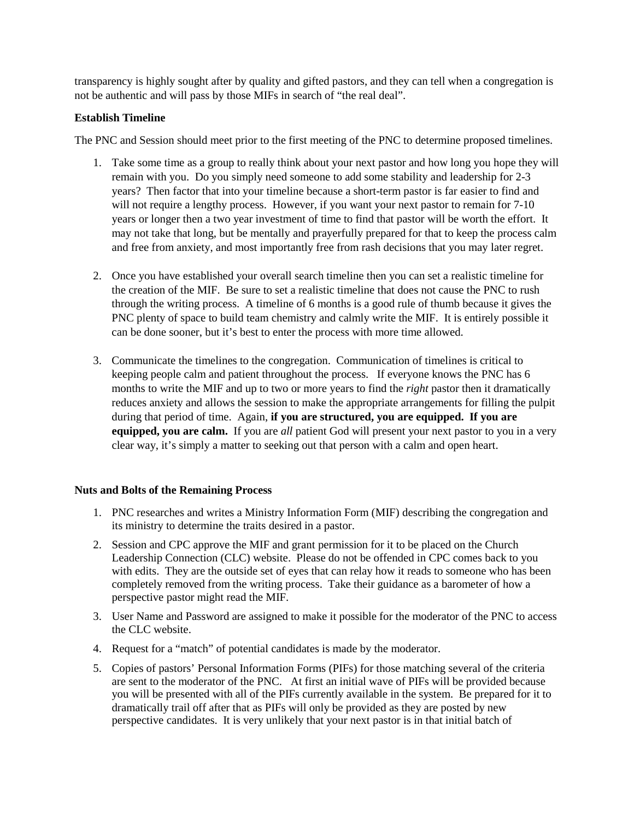transparency is highly sought after by quality and gifted pastors, and they can tell when a congregation is not be authentic and will pass by those MIFs in search of "the real deal".

# **Establish Timeline**

The PNC and Session should meet prior to the first meeting of the PNC to determine proposed timelines.

- 1. Take some time as a group to really think about your next pastor and how long you hope they will remain with you. Do you simply need someone to add some stability and leadership for 2-3 years? Then factor that into your timeline because a short-term pastor is far easier to find and will not require a lengthy process. However, if you want your next pastor to remain for 7-10 years or longer then a two year investment of time to find that pastor will be worth the effort. It may not take that long, but be mentally and prayerfully prepared for that to keep the process calm and free from anxiety, and most importantly free from rash decisions that you may later regret.
- 2. Once you have established your overall search timeline then you can set a realistic timeline for the creation of the MIF. Be sure to set a realistic timeline that does not cause the PNC to rush through the writing process. A timeline of 6 months is a good rule of thumb because it gives the PNC plenty of space to build team chemistry and calmly write the MIF. It is entirely possible it can be done sooner, but it's best to enter the process with more time allowed.
- 3. Communicate the timelines to the congregation. Communication of timelines is critical to keeping people calm and patient throughout the process. If everyone knows the PNC has 6 months to write the MIF and up to two or more years to find the *right* pastor then it dramatically reduces anxiety and allows the session to make the appropriate arrangements for filling the pulpit during that period of time. Again, **if you are structured, you are equipped. If you are equipped, you are calm.** If you are *all* patient God will present your next pastor to you in a very clear way, it's simply a matter to seeking out that person with a calm and open heart.

# **Nuts and Bolts of the Remaining Process**

- 1. PNC researches and writes a Ministry Information Form (MIF) describing the congregation and its ministry to determine the traits desired in a pastor.
- 2. Session and CPC approve the MIF and grant permission for it to be placed on the Church Leadership Connection (CLC) website. Please do not be offended in CPC comes back to you with edits. They are the outside set of eyes that can relay how it reads to someone who has been completely removed from the writing process. Take their guidance as a barometer of how a perspective pastor might read the MIF.
- 3. User Name and Password are assigned to make it possible for the moderator of the PNC to access the CLC website.
- 4. Request for a "match" of potential candidates is made by the moderator.
- 5. Copies of pastors' Personal Information Forms (PIFs) for those matching several of the criteria are sent to the moderator of the PNC. At first an initial wave of PIFs will be provided because you will be presented with all of the PIFs currently available in the system. Be prepared for it to dramatically trail off after that as PIFs will only be provided as they are posted by new perspective candidates. It is very unlikely that your next pastor is in that initial batch of